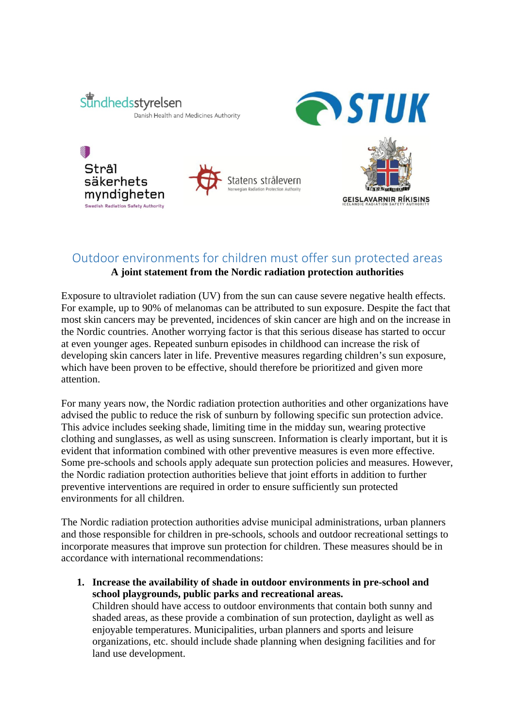

Stral

säkerhets myndigheten

Swedish Radiation Safety Authority



**GEISLAVARNIR RÍKISINS** 

## Outdoor environments for children must offer sun protected areas

## **A joint statement from the Nordic radiation protection authorities**

Exposure to ultraviolet radiation (UV) from the sun can cause severe negative health effects. For example, up to 90% of melanomas can be attributed to sun exposure. Despite the fact that most skin cancers may be prevented, incidences of skin cancer are high and on the increase in the Nordic countries. Another worrying factor is that this serious disease has started to occur at even younger ages. Repeated sunburn episodes in childhood can increase the risk of developing skin cancers later in life. Preventive measures regarding children's sun exposure, which have been proven to be effective, should therefore be prioritized and given more attention.

For many years now, the Nordic radiation protection authorities and other organizations have advised the public to reduce the risk of sunburn by following specific sun protection advice. This advice includes seeking shade, limiting time in the midday sun, wearing protective clothing and sunglasses, as well as using sunscreen. Information is clearly important, but it is evident that information combined with other preventive measures is even more effective. Some pre-schools and schools apply adequate sun protection policies and measures. However, the Nordic radiation protection authorities believe that joint efforts in addition to further preventive interventions are required in order to ensure sufficiently sun protected environments for all children.

The Nordic radiation protection authorities advise municipal administrations, urban planners and those responsible for children in pre-schools, schools and outdoor recreational settings to incorporate measures that improve sun protection for children. These measures should be in accordance with international recommendations:

**1. Increase the availability of shade in outdoor environments in pre-school and school playgrounds, public parks and recreational areas.** 

Children should have access to outdoor environments that contain both sunny and shaded areas, as these provide a combination of sun protection, daylight as well as enjoyable temperatures. Municipalities, urban planners and sports and leisure organizations, etc. should include shade planning when designing facilities and for land use development.